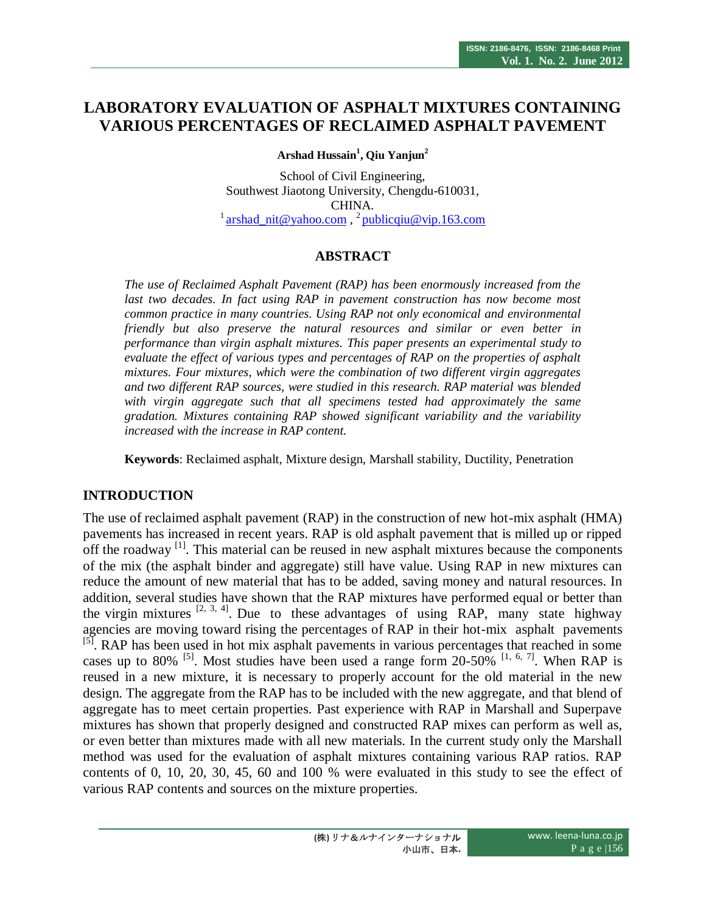# **LABORATORY EVALUATION OF ASPHALT MIXTURES CONTAINING VARIOUS PERCENTAGES OF RECLAIMED ASPHALT PAVEMENT**

**Arshad Hussain<sup>1</sup> , Qiu Yanjun<sup>2</sup>**

School of Civil Engineering, Southwest Jiaotong University, Chengdu-610031, CHINA.  $\frac{1}{2}$  [arshad\\_nit@yahoo.com](mailto:arshad_nit@yahoo.com),  $\frac{2}{2}$  [publicqiu@vip.163.com](mailto:publicqiu@vip.163.com)

# **ABSTRACT**

*The use of Reclaimed Asphalt Pavement (RAP) has been enormously increased from the last two decades. In fact using RAP in pavement construction has now become most common practice in many countries. Using RAP not only economical and environmental friendly but also preserve the natural resources and similar or even better in performance than virgin asphalt mixtures. This paper presents an experimental study to evaluate the effect of various types and percentages of RAP on the properties of asphalt mixtures. Four mixtures, which were the combination of two different virgin aggregates and two different RAP sources, were studied in this research. RAP material was blended with virgin aggregate such that all specimens tested had approximately the same gradation. Mixtures containing RAP showed significant variability and the variability increased with the increase in RAP content.*

**Keywords**: Reclaimed asphalt, Mixture design, Marshall stability, Ductility, Penetration

## **INTRODUCTION**

The use of reclaimed asphalt pavement (RAP) in the construction of new hot-mix asphalt (HMA) pavements has increased in recent years. RAP is old asphalt pavement that is milled up or ripped off the roadway  $\left[1\right]$ . This material can be reused in new asphalt mixtures because the components of the mix (the asphalt binder and aggregate) still have value. Using RAP in new mixtures can reduce the amount of new material that has to be added, saving money and natural resources. In addition, several studies have shown that the RAP mixtures have performed equal or better than the virgin mixtures  $[2, 3, 4]$ . Due to these advantages of using RAP, many state highway agencies are moving toward rising the percentages of RAP in their hot-mix asphalt pavements <sup>[5]</sup>. RAP has been used in hot mix asphalt pavements in various percentages that reached in some cases up to 80% <sup>[5]</sup>. Most studies have been used a range form 20-50% <sup>[1, 6, 7]</sup>. When RAP is reused in a new mixture, it is necessary to properly account for the old material in the new design. The aggregate from the RAP has to be included with the new aggregate, and that blend of aggregate has to meet certain properties. Past experience with RAP in Marshall and Superpave mixtures has shown that properly designed and constructed RAP mixes can perform as well as, or even better than mixtures made with all new materials. In the current study only the Marshall method was used for the evaluation of asphalt mixtures containing various RAP ratios. RAP contents of 0, 10, 20, 30, 45, 60 and 100 % were evaluated in this study to see the effect of various RAP contents and sources on the mixture properties.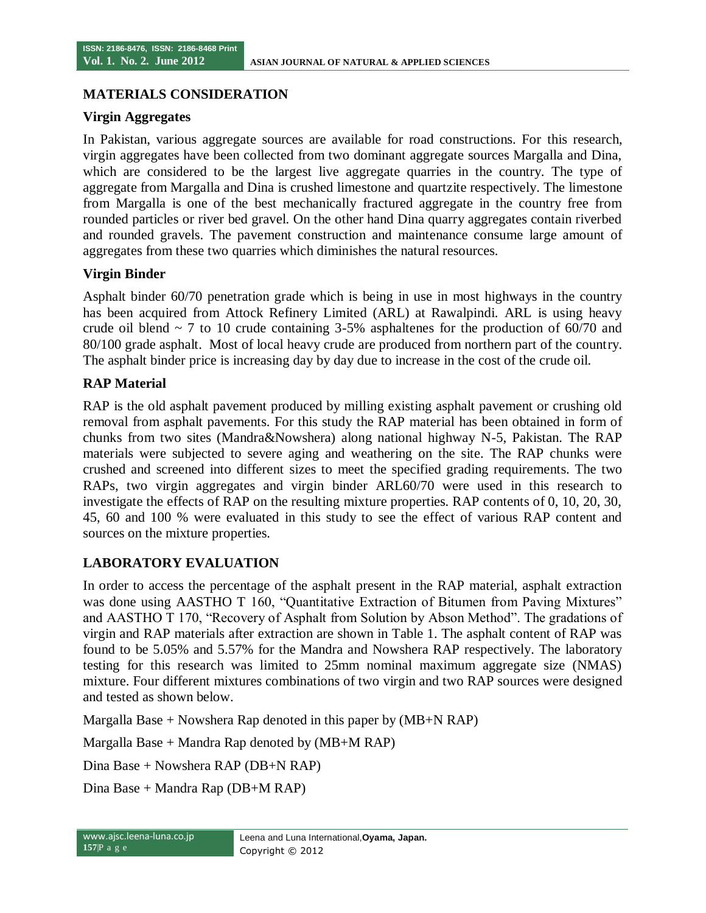#### **MATERIALS CONSIDERATION**

#### **Virgin Aggregates**

In Pakistan, various aggregate sources are available for road constructions. For this research, virgin aggregates have been collected from two dominant aggregate sources Margalla and Dina, which are considered to be the largest live aggregate quarries in the country. The type of aggregate from Margalla and Dina is crushed limestone and quartzite respectively. The limestone from Margalla is one of the best mechanically fractured aggregate in the country free from rounded particles or river bed gravel. On the other hand Dina quarry aggregates contain riverbed and rounded gravels. The pavement construction and maintenance consume large amount of aggregates from these two quarries which diminishes the natural resources.

#### **Virgin Binder**

Asphalt binder 60/70 penetration grade which is being in use in most highways in the country has been acquired from Attock Refinery Limited (ARL) at Rawalpindi. ARL is using heavy crude oil blend  $\sim$  7 to 10 crude containing 3-5% asphaltenes for the production of 60/70 and 80/100 grade asphalt. Most of local heavy crude are produced from northern part of the country. The asphalt binder price is increasing day by day due to increase in the cost of the crude oil.

## **RAP Material**

RAP is the old asphalt pavement produced by milling existing asphalt pavement or crushing old removal from asphalt pavements. For this study the RAP material has been obtained in form of chunks from two sites (Mandra&Nowshera) along national highway N-5, Pakistan. The RAP materials were subjected to severe aging and weathering on the site. The RAP chunks were crushed and screened into different sizes to meet the specified grading requirements. The two RAPs, two virgin aggregates and virgin binder ARL60/70 were used in this research to investigate the effects of RAP on the resulting mixture properties. RAP contents of 0, 10, 20, 30, 45, 60 and 100 % were evaluated in this study to see the effect of various RAP content and sources on the mixture properties.

## **LABORATORY EVALUATION**

In order to access the percentage of the asphalt present in the RAP material, asphalt extraction was done using AASTHO T 160, "Quantitative Extraction of Bitumen from Paving Mixtures" and AASTHO T 170, "Recovery of Asphalt from Solution by Abson Method". The gradations of virgin and RAP materials after extraction are shown in Table 1. The asphalt content of RAP was found to be 5.05% and 5.57% for the Mandra and Nowshera RAP respectively. The laboratory testing for this research was limited to 25mm nominal maximum aggregate size (NMAS) mixture. Four different mixtures combinations of two virgin and two RAP sources were designed and tested as shown below.

Margalla Base  $+$  Nowshera Rap denoted in this paper by  $(MB+N RAP)$ 

Margalla Base  $+$  Mandra Rap denoted by  $(MB+MRAP)$ 

Dina Base + Nowshera RAP (DB+N RAP)

Dina Base + Mandra Rap (DB+M RAP)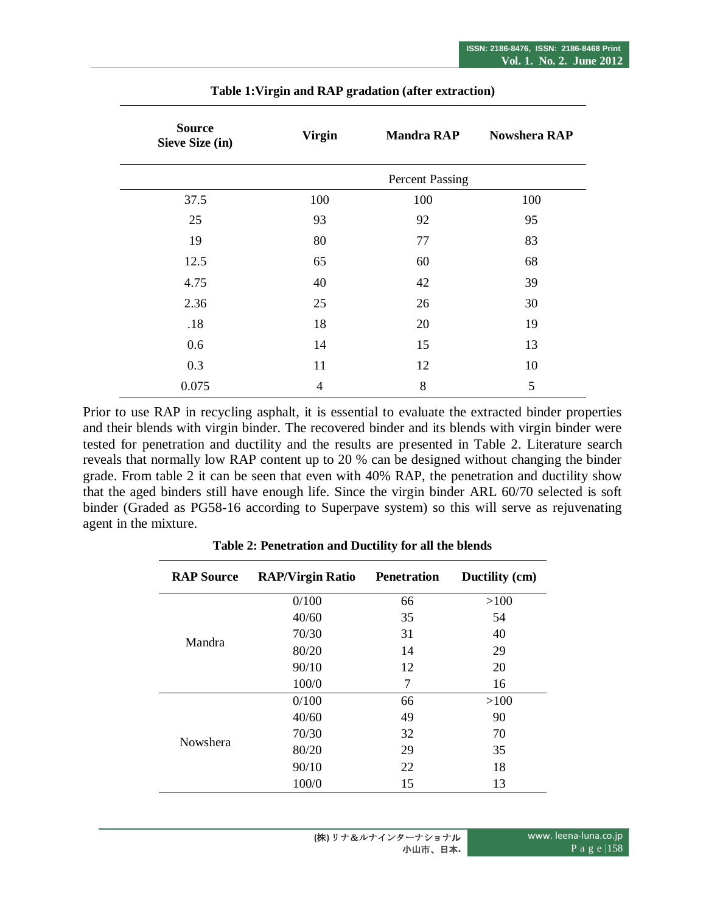| <b>Source</b><br>Sieve Size (in) | <b>Virgin</b> | <b>Mandra RAP</b>      | <b>Nowshera RAP</b> |  |
|----------------------------------|---------------|------------------------|---------------------|--|
|                                  |               | <b>Percent Passing</b> |                     |  |
| 37.5                             | 100           | 100                    | 100                 |  |
| 25                               | 93            | 92                     | 95                  |  |
| 19                               | 80            | 77                     | 83                  |  |
| 12.5                             | 65            | 60                     | 68                  |  |
| 4.75                             | 40            | 42                     | 39                  |  |
| 2.36                             | 25            | 26                     | 30                  |  |
| .18                              | 18            | 20                     | 19                  |  |
| 0.6                              | 14            | 15                     | 13                  |  |
| 0.3                              | 11            | 12                     | 10                  |  |
| 0.075                            | 4             | 8                      | 5                   |  |

**Table 1:Virgin and RAP gradation (after extraction)**

Prior to use RAP in recycling asphalt, it is essential to evaluate the extracted binder properties and their blends with virgin binder. The recovered binder and its blends with virgin binder were tested for penetration and ductility and the results are presented in Table 2. Literature search reveals that normally low RAP content up to 20 % can be designed without changing the binder grade. From table 2 it can be seen that even with 40% RAP, the penetration and ductility show that the aged binders still have enough life. Since the virgin binder ARL 60/70 selected is soft binder (Graded as PG58-16 according to Superpave system) so this will serve as rejuvenating agent in the mixture.

| <b>RAP Source</b>                                     | <b>RAP/Virgin Ratio</b> | <b>Penetration</b> | Ductility (cm) |
|-------------------------------------------------------|-------------------------|--------------------|----------------|
|                                                       | 0/100                   | 66                 | >100           |
|                                                       | 40/60                   | 35                 | 54             |
|                                                       | 70/30                   | 31                 | 40             |
| Mandra                                                | 80/20                   | 14                 | 29             |
|                                                       | 90/10                   | 12                 | 20             |
|                                                       | 100/0                   | 7                  | 16             |
|                                                       | 0/100                   | 66                 | >100           |
| 40/60<br>70/30<br>Nowshera<br>80/20<br>90/10<br>100/0 | 49                      | 90                 |                |
|                                                       |                         | 32                 | 70             |
|                                                       |                         | 29                 | 35             |
|                                                       |                         | 22                 | 18             |
|                                                       |                         | 15                 | 13             |

**Table 2: Penetration and Ductility for all the blends**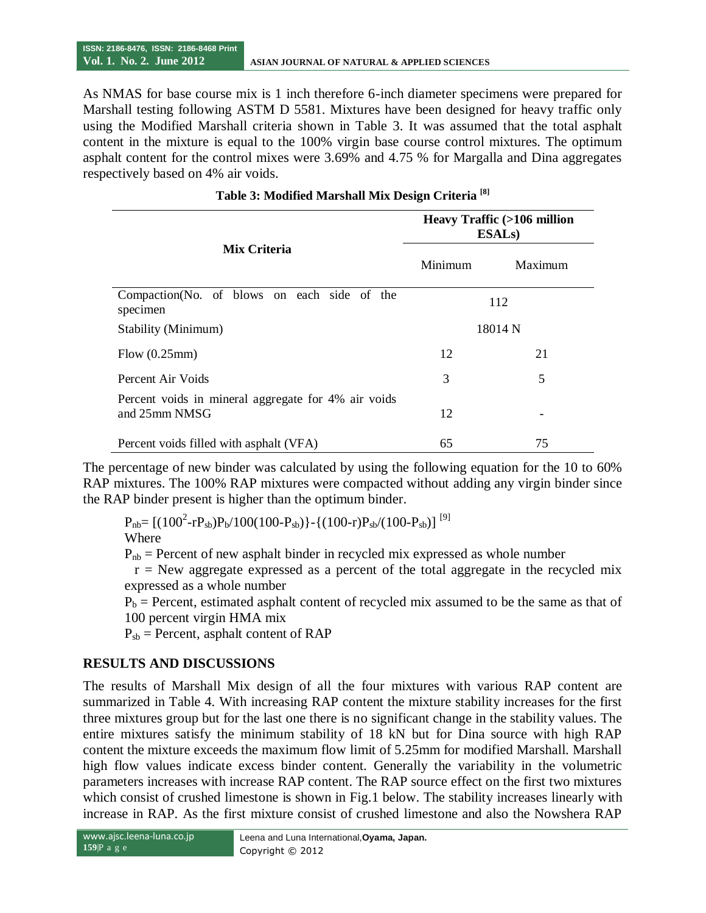As NMAS for base course mix is 1 inch therefore 6-inch diameter specimens were prepared for Marshall testing following ASTM D 5581. Mixtures have been designed for heavy traffic only using the Modified Marshall criteria shown in Table 3. It was assumed that the total asphalt content in the mixture is equal to the 100% virgin base course control mixtures. The optimum asphalt content for the control mixes were 3.69% and 4.75 % for Margalla and Dina aggregates respectively based on 4% air voids.

|                                                                      | Heavy Traffic (>106 million<br><b>ESALs</b> ) |         |  |
|----------------------------------------------------------------------|-----------------------------------------------|---------|--|
| Mix Criteria                                                         | Minimum                                       | Maximum |  |
| Compaction (No. of blows on each side of the<br>specimen             | 112                                           |         |  |
| Stability (Minimum)                                                  | 18014 N                                       |         |  |
| Flow $(0.25$ mm $)$                                                  | 12                                            | 21      |  |
| Percent Air Voids                                                    | 3                                             | 5       |  |
| Percent voids in mineral aggregate for 4% air voids<br>and 25mm NMSG | 12                                            |         |  |
| Percent voids filled with asphalt (VFA)                              | 65                                            | 75      |  |

#### **Table 3: Modified Marshall Mix Design Criteria [8]**

The percentage of new binder was calculated by using the following equation for the 10 to 60% RAP mixtures. The 100% RAP mixtures were compacted without adding any virgin binder since the RAP binder present is higher than the optimum binder.

 $P_{\rm nb}$  = [(100<sup>2</sup>-rP<sub>sb</sub>)P<sub>b</sub>/100(100-P<sub>sb</sub>)}-{(100-r)P<sub>sb</sub>/(100-P<sub>sb</sub>)]<sup>[9]</sup>

Where

 $P_{nb}$  = Percent of new asphalt binder in recycled mix expressed as whole number

 $r =$  New aggregate expressed as a percent of the total aggregate in the recycled mix expressed as a whole number

 $P_b$  = Percent, estimated asphalt content of recycled mix assumed to be the same as that of 100 percent virgin HMA mix

 $P_{sb}$  = Percent, asphalt content of RAP

## **RESULTS AND DISCUSSIONS**

The results of Marshall Mix design of all the four mixtures with various RAP content are summarized in Table 4. With increasing RAP content the mixture stability increases for the first three mixtures group but for the last one there is no significant change in the stability values. The entire mixtures satisfy the minimum stability of 18 kN but for Dina source with high RAP content the mixture exceeds the maximum flow limit of 5.25mm for modified Marshall. Marshall high flow values indicate excess binder content. Generally the variability in the volumetric parameters increases with increase RAP content. The RAP source effect on the first two mixtures which consist of crushed limestone is shown in Fig.1 below. The stability increases linearly with increase in RAP. As the first mixture consist of crushed limestone and also the Nowshera RAP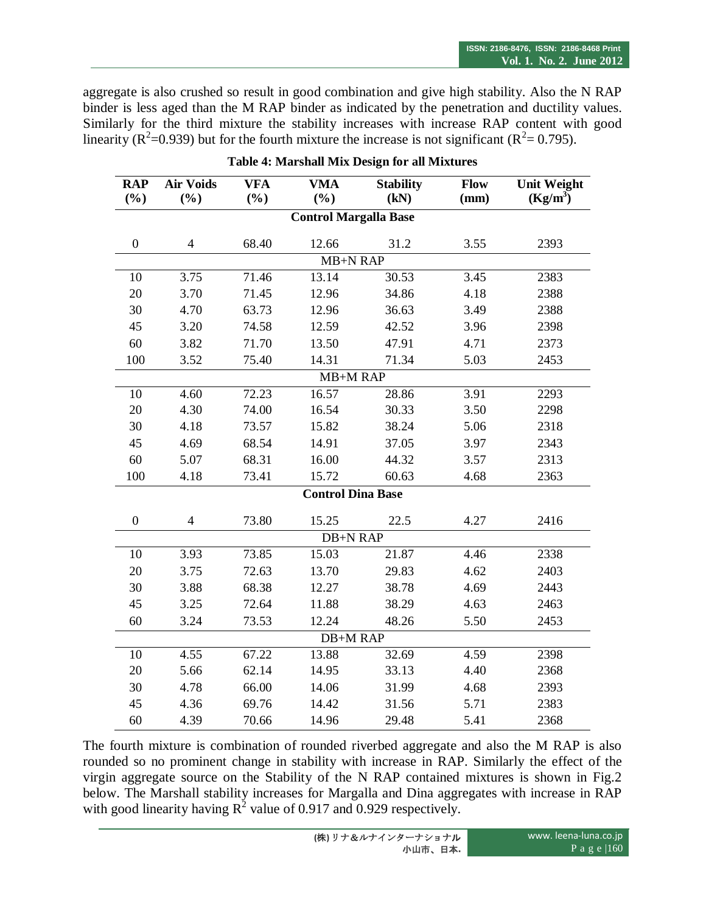aggregate is also crushed so result in good combination and give high stability. Also the N RAP binder is less aged than the M RAP binder as indicated by the penetration and ductility values. Similarly for the third mixture the stability increases with increase RAP content with good linearity ( $\mathbb{R}^2$ =0.939) but for the fourth mixture the increase is not significant ( $\mathbb{R}^2$ =0.795).

| <b>RAP</b><br>$(\%)$ | <b>Air Voids</b><br>(%)  | <b>VFA</b><br>$(\%)$ | <b>VMA</b><br>$(\%)$         | <b>Stability</b><br>(kN) | Flow<br>(mm) | <b>Unit Weight</b><br>$(Kg/m^3)$ |  |
|----------------------|--------------------------|----------------------|------------------------------|--------------------------|--------------|----------------------------------|--|
|                      |                          |                      | <b>Control Margalla Base</b> |                          |              |                                  |  |
|                      |                          |                      |                              |                          |              |                                  |  |
| $\boldsymbol{0}$     | $\overline{4}$           | 68.40                | 12.66                        | 31.2                     | 3.55         | 2393                             |  |
|                      |                          |                      | <b>MB+N RAP</b>              |                          |              |                                  |  |
| 10                   | 3.75                     | 71.46                | 13.14                        | 30.53                    | 3.45         | 2383                             |  |
| 20                   | 3.70                     | 71.45                | 12.96                        | 34.86                    | 4.18         | 2388                             |  |
| 30                   | 4.70                     | 63.73                | 12.96                        | 36.63                    | 3.49         | 2388                             |  |
| 45                   | 3.20                     | 74.58                | 12.59                        | 42.52                    | 3.96         | 2398                             |  |
| 60                   | 3.82                     | 71.70                | 13.50                        | 47.91                    | 4.71         | 2373                             |  |
| 100                  | 3.52                     | 75.40                | 14.31                        | 71.34                    | 5.03         | 2453                             |  |
|                      |                          |                      | MB+M RAP                     |                          |              |                                  |  |
| 10                   | 4.60                     | 72.23                | 16.57                        | 28.86                    | 3.91         | 2293                             |  |
| 20                   | 4.30                     | 74.00                | 16.54                        | 30.33                    | 3.50         | 2298                             |  |
| 30                   | 4.18                     | 73.57                | 15.82                        | 38.24                    | 5.06         | 2318                             |  |
| 45                   | 4.69                     | 68.54                | 14.91                        | 37.05                    | 3.97         | 2343                             |  |
| 60                   | 5.07                     | 68.31                | 16.00                        | 44.32                    | 3.57         | 2313                             |  |
| 100                  | 4.18                     | 73.41                | 15.72                        | 60.63                    | 4.68         | 2363                             |  |
|                      | <b>Control Dina Base</b> |                      |                              |                          |              |                                  |  |
| $\boldsymbol{0}$     | $\overline{4}$           | 73.80                | 15.25                        | 22.5                     | 4.27         | 2416                             |  |
|                      |                          |                      | <b>DB+N RAP</b>              |                          |              |                                  |  |
| 10                   | 3.93                     | 73.85                | 15.03                        | 21.87                    | 4.46         | 2338                             |  |
| 20                   | 3.75                     | 72.63                | 13.70                        | 29.83                    | 4.62         | 2403                             |  |
| 30                   | 3.88                     | 68.38                | 12.27                        | 38.78                    | 4.69         | 2443                             |  |
| 45                   | 3.25                     | 72.64                | 11.88                        | 38.29                    | 4.63         | 2463                             |  |
| 60                   | 3.24                     | 73.53                | 12.24                        | 48.26                    | 5.50         | 2453                             |  |
|                      |                          |                      | <b>DB+M RAP</b>              |                          |              |                                  |  |
| 10                   | 4.55                     | 67.22                | 13.88                        | 32.69                    | 4.59         | 2398                             |  |
| 20                   | 5.66                     | 62.14                | 14.95                        | 33.13                    | 4.40         | 2368                             |  |
| 30                   | 4.78                     | 66.00                | 14.06                        | 31.99                    | 4.68         | 2393                             |  |
| 45                   | 4.36                     | 69.76                | 14.42                        | 31.56                    | 5.71         | 2383                             |  |
| 60                   | 4.39                     | 70.66                | 14.96                        | 29.48                    | 5.41         | 2368                             |  |

|  |  |  |  |  |  | Table 4: Marshall Mix Design for all Mixtures |
|--|--|--|--|--|--|-----------------------------------------------|
|--|--|--|--|--|--|-----------------------------------------------|

The fourth mixture is combination of rounded riverbed aggregate and also the M RAP is also rounded so no prominent change in stability with increase in RAP. Similarly the effect of the virgin aggregate source on the Stability of the N RAP contained mixtures is shown in Fig.2 below. The Marshall stability increases for Margalla and Dina aggregates with increase in RAP with good linearity having  $R^2$  value of 0.917 and 0.929 respectively.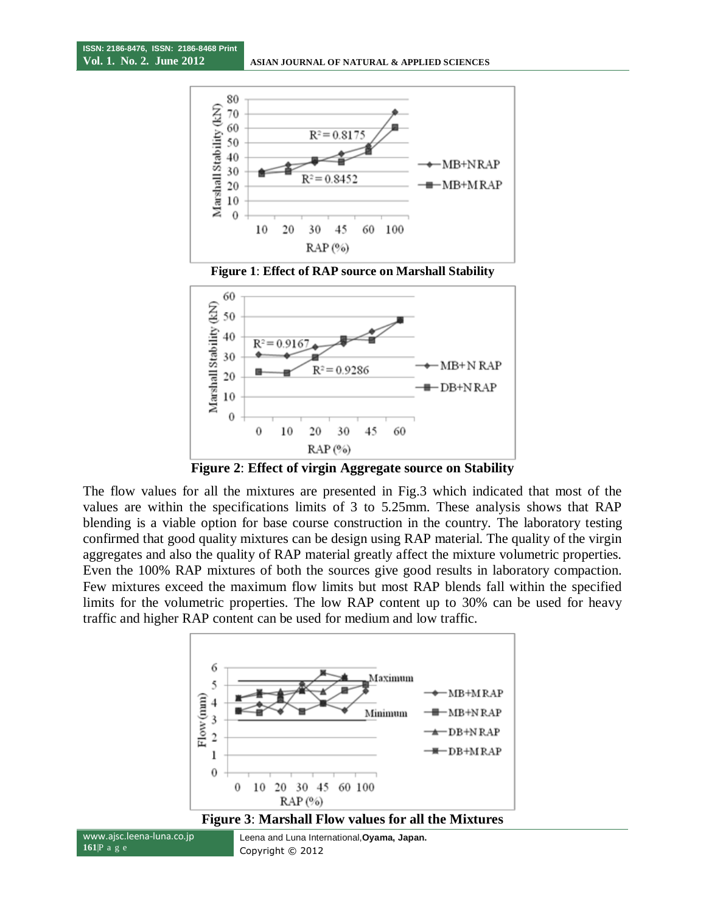





**Figure 2**: **Effect of virgin Aggregate source on Stability**

The flow values for all the mixtures are presented in Fig.3 which indicated that most of the values are within the specifications limits of 3 to 5.25mm. These analysis shows that RAP blending is a viable option for base course construction in the country. The laboratory testing confirmed that good quality mixtures can be design using RAP material. The quality of the virgin aggregates and also the quality of RAP material greatly affect the mixture volumetric properties. Even the 100% RAP mixtures of both the sources give good results in laboratory compaction. Few mixtures exceed the maximum flow limits but most RAP blends fall within the specified limits for the volumetric properties. The low RAP content up to 30% can be used for heavy traffic and higher RAP content can be used for medium and low traffic.



www.ajsc.leena-luna.co.jp **161**|P a g e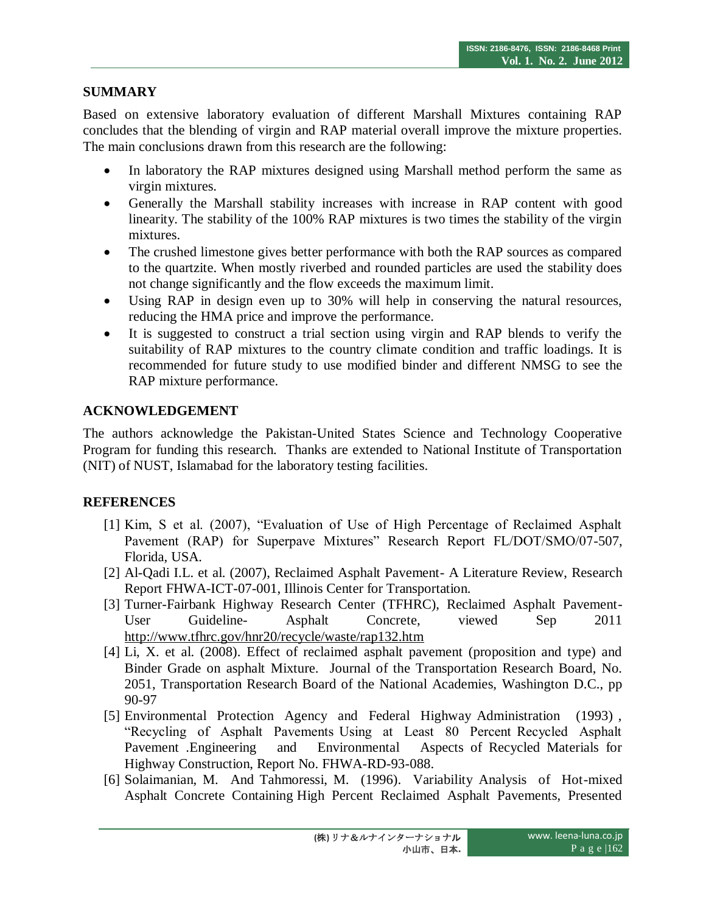# **SUMMARY**

Based on extensive laboratory evaluation of different Marshall Mixtures containing RAP concludes that the blending of virgin and RAP material overall improve the mixture properties. The main conclusions drawn from this research are the following:

- In laboratory the RAP mixtures designed using Marshall method perform the same as virgin mixtures.
- Generally the Marshall stability increases with increase in RAP content with good linearity. The stability of the 100% RAP mixtures is two times the stability of the virgin mixtures.
- The crushed limestone gives better performance with both the RAP sources as compared to the quartzite. When mostly riverbed and rounded particles are used the stability does not change significantly and the flow exceeds the maximum limit.
- Using RAP in design even up to 30% will help in conserving the natural resources, reducing the HMA price and improve the performance.
- It is suggested to construct a trial section using virgin and RAP blends to verify the suitability of RAP mixtures to the country climate condition and traffic loadings. It is recommended for future study to use modified binder and different NMSG to see the RAP mixture performance.

## **ACKNOWLEDGEMENT**

The authors acknowledge the Pakistan-United States Science and Technology Cooperative Program for funding this research. Thanks are extended to National Institute of Transportation (NIT) of NUST, Islamabad for the laboratory testing facilities.

## **REFERENCES**

- [1] Kim, S et al. (2007), "Evaluation of Use of High Percentage of Reclaimed Asphalt Pavement (RAP) for Superpave Mixtures" Research Report FL/DOT/SMO/07-507, Florida, USA.
- [2] Al-Qadi I.L. et al. (2007), Reclaimed Asphalt Pavement- A Literature Review, Research Report FHWA-ICT-07-001, Illinois Center for Transportation.
- [3] Turner-Fairbank Highway Research Center (TFHRC), Reclaimed Asphalt Pavement-User Guideline- Asphalt Concrete, viewed Sep 2011 http://www.tfhrc.gov/hnr20/recycle/waste/rap132.htm
- [4] Li, X. et al. (2008). Effect of reclaimed asphalt pavement (proposition and type) and Binder Grade on asphalt Mixture. Journal of the Transportation Research Board, No. 2051, Transportation Research Board of the National Academies, Washington D.C., pp 90-97
- [5] Environmental Protection Agency and Federal Highway Administration (1993) , "Recycling of Asphalt Pavements Using at Least 80 Percent Recycled Asphalt Pavement .Engineering and Environmental Aspects of Recycled Materials for Highway Construction, Report No. FHWA-RD-93-088.
- [6] Solaimanian, M. And Tahmoressi, M. (1996). Variability Analysis of Hot-mixed Asphalt Concrete Containing High Percent Reclaimed Asphalt Pavements, Presented